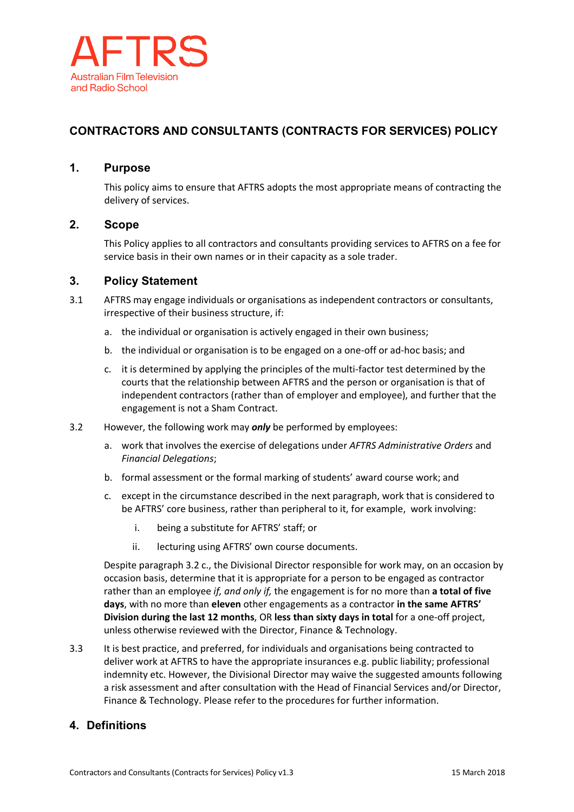

# **CONTRACTORS AND CONSULTANTS (CONTRACTS FOR SERVICES) POLICY**

## **1. Purpose**

This policy aims to ensure that AFTRS adopts the most appropriate means of contracting the delivery of services.

### **2. Scope**

This Policy applies to all contractors and consultants providing services to AFTRS on a fee for service basis in their own names or in their capacity as a sole trader.

#### **3. Policy Statement**

- 3.1 AFTRS may engage individuals or organisations as independent contractors or consultants, irrespective of their business structure, if:
	- a. the individual or organisation is actively engaged in their own business;
	- b. the individual or organisation is to be engaged on a one-off or ad-hoc basis; and
	- c. it is determined by applying the principles of the multi-factor test determined by the courts that the relationship between AFTRS and the person or organisation is that of independent contractors (rather than of employer and employee), and further that the engagement is not a Sham Contract.
- 3.2 However, the following work may *only* be performed by employees:
	- a. work that involves the exercise of delegations under *AFTRS Administrative Orders* and *Financial Delegations*;
	- b. formal assessment or the formal marking of students' award course work; and
	- c. except in the circumstance described in the next paragraph, work that is considered to be AFTRS' core business, rather than peripheral to it, for example, work involving:
		- i. being a substitute for AFTRS' staff; or
		- ii. lecturing using AFTRS' own course documents.

Despite paragraph 3.2 c., the Divisional Director responsible for work may, on an occasion by occasion basis, determine that it is appropriate for a person to be engaged as contractor rather than an employee *if, and only if,* the engagement is for no more than **a total of five days**, with no more than **eleven** other engagements as a contractor **in the same AFTRS' Division during the last 12 months**, OR **less than sixty days in total** for a one-off project, unless otherwise reviewed with the Director, Finance & Technology.

3.3 It is best practice, and preferred, for individuals and organisations being contracted to deliver work at AFTRS to have the appropriate insurances e.g. public liability; professional indemnity etc. However, the Divisional Director may waive the suggested amounts following a risk assessment and after consultation with the Head of Financial Services and/or Director, Finance & Technology. Please refer to the procedures for further information.

## **4. Definitions**